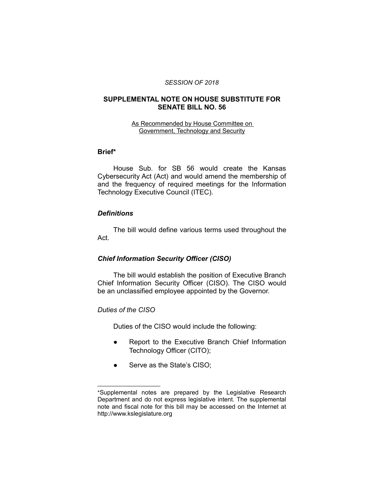#### *SESSION OF 2018*

## **SUPPLEMENTAL NOTE ON HOUSE SUBSTITUTE FOR SENATE BILL NO. 56**

#### As Recommended by House Committee on Government, Technology and Security

## **Brief\***

House Sub. for SB 56 would create the Kansas Cybersecurity Act (Act) and would amend the membership of and the frequency of required meetings for the Information Technology Executive Council (ITEC).

### *Definitions*

The bill would define various terms used throughout the Act.

## *Chief Information Security Officer (CISO)*

The bill would establish the position of Executive Branch Chief Information Security Officer (CISO). The CISO would be an unclassified employee appointed by the Governor.

### *Duties of the CISO*

 $\overline{\phantom{a}}$  , where  $\overline{\phantom{a}}$  , where  $\overline{\phantom{a}}$ 

Duties of the CISO would include the following:

- Report to the Executive Branch Chief Information Technology Officer (CITO);
- Serve as the State's CISO;

<sup>\*</sup>Supplemental notes are prepared by the Legislative Research Department and do not express legislative intent. The supplemental note and fiscal note for this bill may be accessed on the Internet at http://www.kslegislature.org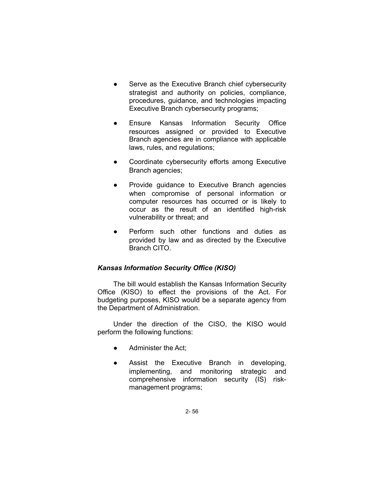- Serve as the Executive Branch chief cybersecurity strategist and authority on policies, compliance, procedures, guidance, and technologies impacting Executive Branch cybersecurity programs;
- Ensure Kansas Information Security Office resources assigned or provided to Executive Branch agencies are in compliance with applicable laws, rules, and regulations;
- Coordinate cybersecurity efforts among Executive Branch agencies;
- Provide guidance to Executive Branch agencies when compromise of personal information or computer resources has occurred or is likely to occur as the result of an identified high-risk vulnerability or threat; and
- Perform such other functions and duties as provided by law and as directed by the Executive Branch CITO.

# *Kansas Information Security Office (KISO)*

The bill would establish the Kansas Information Security Office (KISO) to effect the provisions of the Act. For budgeting purposes, KISO would be a separate agency from the Department of Administration.

Under the direction of the CISO, the KISO would perform the following functions:

- Administer the Act;
- Assist the Executive Branch in developing, implementing, and monitoring strategic and comprehensive information security (IS) riskmanagement programs;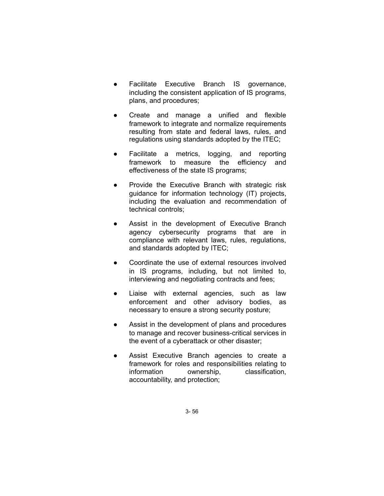- Facilitate Executive Branch IS governance, including the consistent application of IS programs, plans, and procedures;
- Create and manage a unified and flexible framework to integrate and normalize requirements resulting from state and federal laws, rules, and regulations using standards adopted by the ITEC;
- Facilitate a metrics, logging, and reporting framework to measure the efficiency and effectiveness of the state IS programs;
- Provide the Executive Branch with strategic risk guidance for information technology (IT) projects, including the evaluation and recommendation of technical controls;
- Assist in the development of Executive Branch agency cybersecurity programs that are in compliance with relevant laws, rules, regulations, and standards adopted by ITEC;
- Coordinate the use of external resources involved in IS programs, including, but not limited to, interviewing and negotiating contracts and fees;
- Liaise with external agencies, such as law enforcement and other advisory bodies, as necessary to ensure a strong security posture;
- Assist in the development of plans and procedures to manage and recover business-critical services in the event of a cyberattack or other disaster;
- Assist Executive Branch agencies to create a framework for roles and responsibilities relating to information ownership, classification, accountability, and protection;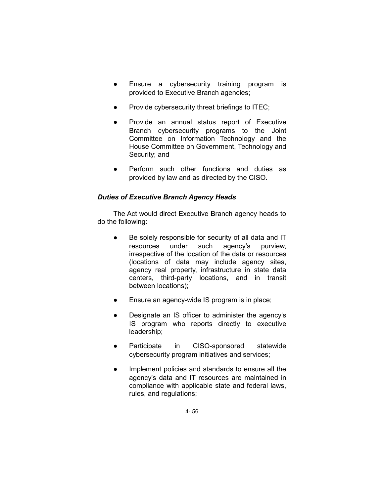- Ensure a cybersecurity training program is provided to Executive Branch agencies;
- Provide cybersecurity threat briefings to ITEC;
- Provide an annual status report of Executive Branch cybersecurity programs to the Joint Committee on Information Technology and the House Committee on Government, Technology and Security; and
- Perform such other functions and duties as provided by law and as directed by the CISO.

# *Duties of Executive Branch Agency Heads*

The Act would direct Executive Branch agency heads to do the following:

- Be solely responsible for security of all data and IT resources under such agency's purview, irrespective of the location of the data or resources (locations of data may include agency sites, agency real property, infrastructure in state data centers, third-party locations, and in transit between locations);
- Ensure an agency-wide IS program is in place;
- Designate an IS officer to administer the agency's IS program who reports directly to executive leadership;
- Participate in CISO-sponsored statewide cybersecurity program initiatives and services;
- Implement policies and standards to ensure all the agency's data and IT resources are maintained in compliance with applicable state and federal laws, rules, and regulations;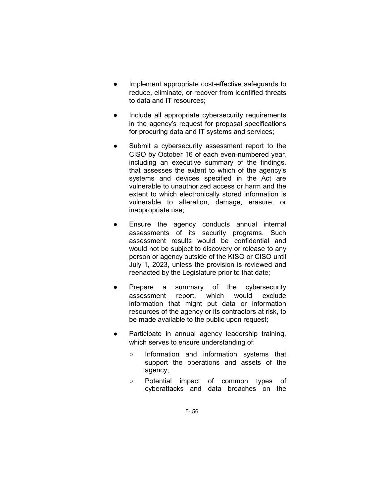- Implement appropriate cost-effective safeguards to reduce, eliminate, or recover from identified threats to data and IT resources;
- Include all appropriate cybersecurity requirements in the agency's request for proposal specifications for procuring data and IT systems and services;
- Submit a cybersecurity assessment report to the CISO by October 16 of each even-numbered year, including an executive summary of the findings, that assesses the extent to which of the agency's systems and devices specified in the Act are vulnerable to unauthorized access or harm and the extent to which electronically stored information is vulnerable to alteration, damage, erasure, or inappropriate use;
- Ensure the agency conducts annual internal assessments of its security programs. Such assessment results would be confidential and would not be subject to discovery or release to any person or agency outside of the KISO or CISO until July 1, 2023, unless the provision is reviewed and reenacted by the Legislature prior to that date;
- Prepare a summary of the cybersecurity assessment report, which would exclude information that might put data or information resources of the agency or its contractors at risk, to be made available to the public upon request;
- Participate in annual agency leadership training, which serves to ensure understanding of:
	- Information and information systems that support the operations and assets of the agency;
	- Potential impact of common types of cyberattacks and data breaches on the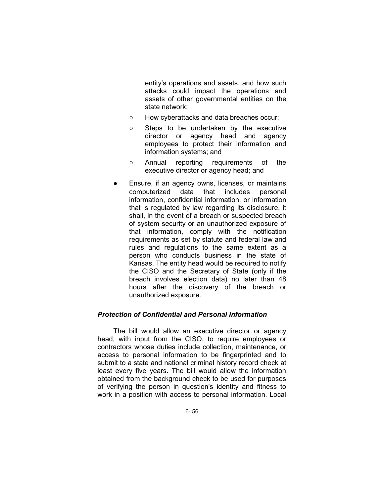entity's operations and assets, and how such attacks could impact the operations and assets of other governmental entities on the state network;

- How cyberattacks and data breaches occur;
- Steps to be undertaken by the executive director or agency head and agency employees to protect their information and information systems; and
- Annual reporting requirements of the executive director or agency head; and
- Ensure, if an agency owns, licenses, or maintains computerized data that includes personal information, confidential information, or information that is regulated by law regarding its disclosure, it shall, in the event of a breach or suspected breach of system security or an unauthorized exposure of that information, comply with the notification requirements as set by statute and federal law and rules and regulations to the same extent as a person who conducts business in the state of Kansas. The entity head would be required to notify the CISO and the Secretary of State (only if the breach involves election data) no later than 48 hours after the discovery of the breach or unauthorized exposure.

### *Protection of Confidential and Personal Information*

The bill would allow an executive director or agency head, with input from the CISO, to require employees or contractors whose duties include collection, maintenance, or access to personal information to be fingerprinted and to submit to a state and national criminal history record check at least every five years. The bill would allow the information obtained from the background check to be used for purposes of verifying the person in question's identity and fitness to work in a position with access to personal information. Local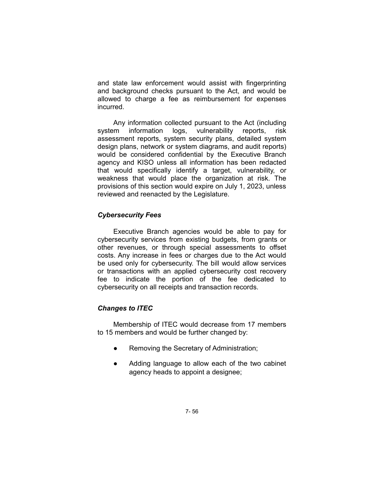and state law enforcement would assist with fingerprinting and background checks pursuant to the Act, and would be allowed to charge a fee as reimbursement for expenses incurred.

Any information collected pursuant to the Act (including system information logs, vulnerability reports, risk assessment reports, system security plans, detailed system design plans, network or system diagrams, and audit reports) would be considered confidential by the Executive Branch agency and KISO unless all information has been redacted that would specifically identify a target, vulnerability, or weakness that would place the organization at risk. The provisions of this section would expire on July 1, 2023, unless reviewed and reenacted by the Legislature.

## *Cybersecurity Fees*

Executive Branch agencies would be able to pay for cybersecurity services from existing budgets, from grants or other revenues, or through special assessments to offset costs. Any increase in fees or charges due to the Act would be used only for cybersecurity. The bill would allow services or transactions with an applied cybersecurity cost recovery fee to indicate the portion of the fee dedicated to cybersecurity on all receipts and transaction records.

## *Changes to ITEC*

Membership of ITEC would decrease from 17 members to 15 members and would be further changed by:

- Removing the Secretary of Administration;
- Adding language to allow each of the two cabinet agency heads to appoint a designee;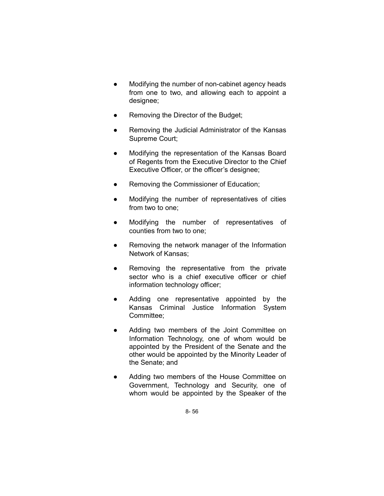- Modifying the number of non-cabinet agency heads from one to two, and allowing each to appoint a designee;
- Removing the Director of the Budget;
- Removing the Judicial Administrator of the Kansas Supreme Court;
- Modifying the representation of the Kansas Board of Regents from the Executive Director to the Chief Executive Officer, or the officer's designee;
- Removing the Commissioner of Education;
- Modifying the number of representatives of cities from two to one;
- Modifying the number of representatives of counties from two to one;
- Removing the network manager of the Information Network of Kansas;
- Removing the representative from the private sector who is a chief executive officer or chief information technology officer;
- Adding one representative appointed by the Kansas Criminal Justice Information System Committee;
- Adding two members of the Joint Committee on Information Technology, one of whom would be appointed by the President of the Senate and the other would be appointed by the Minority Leader of the Senate; and
- Adding two members of the House Committee on Government, Technology and Security, one of whom would be appointed by the Speaker of the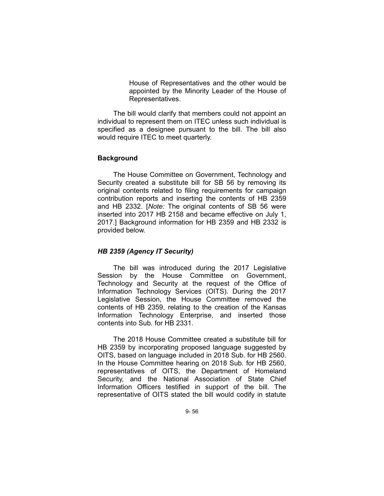House of Representatives and the other would be appointed by the Minority Leader of the House of Representatives.

The bill would clarify that members could not appoint an individual to represent them on ITEC unless such individual is specified as a designee pursuant to the bill. The bill also would require ITEC to meet quarterly.

#### **Background**

The House Committee on Government, Technology and Security created a substitute bill for SB 56 by removing its original contents related to filing requirements for campaign contribution reports and inserting the contents of HB 2359 and HB 2332. [*Note:* The original contents of SB 56 were inserted into 2017 HB 2158 and became effective on July 1, 2017.] Background information for HB 2359 and HB 2332 is provided below.

## *HB 2359 (Agency IT Security)*

The bill was introduced during the 2017 Legislative Session by the House Committee on Government, Technology and Security at the request of the Office of Information Technology Services (OITS). During the 2017 Legislative Session, the House Committee removed the contents of HB 2359, relating to the creation of the Kansas Information Technology Enterprise, and inserted those contents into Sub. for HB 2331.

The 2018 House Committee created a substitute bill for HB 2359 by incorporating proposed language suggested by OITS, based on language included in 2018 Sub. for HB 2560. In the House Committee hearing on 2018 Sub. for HB 2560, representatives of OITS, the Department of Homeland Security, and the National Association of State Chief Information Officers testified in support of the bill. The representative of OITS stated the bill would codify in statute